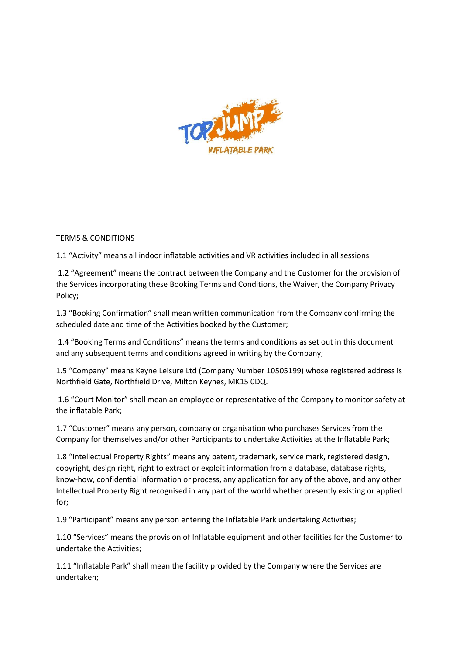

## TERMS & CONDITIONS

1.1 "Activity" means all indoor inflatable activities and VR activities included in all sessions.

1.2 "Agreement" means the contract between the Company and the Customer for the provision of the Services incorporating these Booking Terms and Conditions, the Waiver, the Company Privacy Policy;

1.3 "Booking Confirmation" shall mean written communication from the Company confirming the scheduled date and time of the Activities booked by the Customer;

1.4 "Booking Terms and Conditions" means the terms and conditions as set out in this document and any subsequent terms and conditions agreed in writing by the Company;

1.5 "Company" means Keyne Leisure Ltd (Company Number 10505199) whose registered address is Northfield Gate, Northfield Drive, Milton Keynes, MK15 0DQ.

1.6 "Court Monitor" shall mean an employee or representative of the Company to monitor safety at the inflatable Park;

1.7 "Customer" means any person, company or organisation who purchases Services from the Company for themselves and/or other Participants to undertake Activities at the Inflatable Park;

1.8 "Intellectual Property Rights" means any patent, trademark, service mark, registered design, copyright, design right, right to extract or exploit information from a database, database rights, know-how, confidential information or process, any application for any of the above, and any other Intellectual Property Right recognised in any part of the world whether presently existing or applied for;

1.9 "Participant" means any person entering the Inflatable Park undertaking Activities;

1.10 "Services" means the provision of Inflatable equipment and other facilities for the Customer to undertake the Activities;

1.11 "Inflatable Park" shall mean the facility provided by the Company where the Services are undertaken;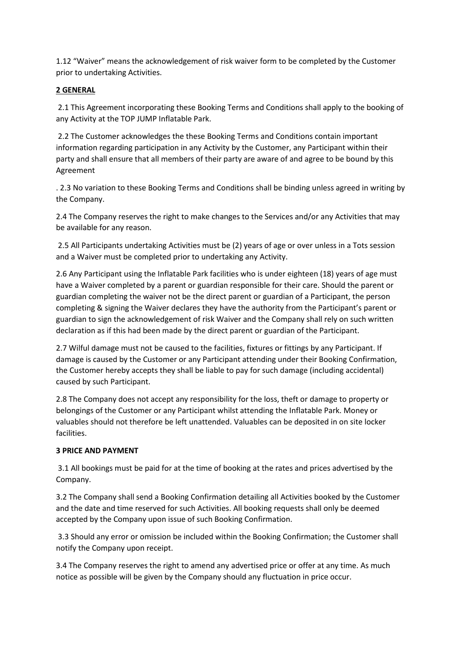1.12 "Waiver" means the acknowledgement of risk waiver form to be completed by the Customer prior to undertaking Activities.

# **2 GENERAL**

2.1 This Agreement incorporating these Booking Terms and Conditions shall apply to the booking of any Activity at the TOP JUMP Inflatable Park.

2.2 The Customer acknowledges the these Booking Terms and Conditions contain important information regarding participation in any Activity by the Customer, any Participant within their party and shall ensure that all members of their party are aware of and agree to be bound by this Agreement

. 2.3 No variation to these Booking Terms and Conditions shall be binding unless agreed in writing by the Company.

2.4 The Company reserves the right to make changes to the Services and/or any Activities that may be available for any reason.

2.5 All Participants undertaking Activities must be (2) years of age or over unless in a Tots session and a Waiver must be completed prior to undertaking any Activity.

2.6 Any Participant using the Inflatable Park facilities who is under eighteen (18) years of age must have a Waiver completed by a parent or guardian responsible for their care. Should the parent or guardian completing the waiver not be the direct parent or guardian of a Participant, the person completing & signing the Waiver declares they have the authority from the Participant's parent or guardian to sign the acknowledgement of risk Waiver and the Company shall rely on such written declaration as if this had been made by the direct parent or guardian of the Participant.

2.7 Wilful damage must not be caused to the facilities, fixtures or fittings by any Participant. If damage is caused by the Customer or any Participant attending under their Booking Confirmation, the Customer hereby accepts they shall be liable to pay for such damage (including accidental) caused by such Participant.

2.8 The Company does not accept any responsibility for the loss, theft or damage to property or belongings of the Customer or any Participant whilst attending the Inflatable Park. Money or valuables should not therefore be left unattended. Valuables can be deposited in on site locker facilities.

## **3 PRICE AND PAYMENT**

3.1 All bookings must be paid for at the time of booking at the rates and prices advertised by the Company.

3.2 The Company shall send a Booking Confirmation detailing all Activities booked by the Customer and the date and time reserved for such Activities. All booking requests shall only be deemed accepted by the Company upon issue of such Booking Confirmation.

3.3 Should any error or omission be included within the Booking Confirmation; the Customer shall notify the Company upon receipt.

3.4 The Company reserves the right to amend any advertised price or offer at any time. As much notice as possible will be given by the Company should any fluctuation in price occur.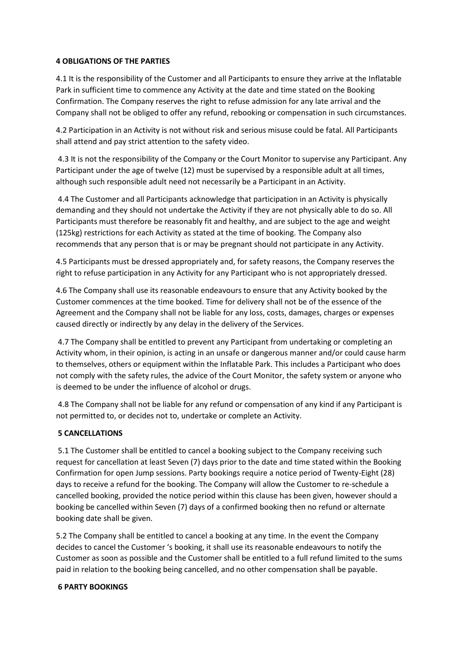#### **4 OBLIGATIONS OF THE PARTIES**

4.1 It is the responsibility of the Customer and all Participants to ensure they arrive at the Inflatable Park in sufficient time to commence any Activity at the date and time stated on the Booking Confirmation. The Company reserves the right to refuse admission for any late arrival and the Company shall not be obliged to offer any refund, rebooking or compensation in such circumstances.

4.2 Participation in an Activity is not without risk and serious misuse could be fatal. All Participants shall attend and pay strict attention to the safety video.

4.3 It is not the responsibility of the Company or the Court Monitor to supervise any Participant. Any Participant under the age of twelve (12) must be supervised by a responsible adult at all times, although such responsible adult need not necessarily be a Participant in an Activity.

4.4 The Customer and all Participants acknowledge that participation in an Activity is physically demanding and they should not undertake the Activity if they are not physically able to do so. All Participants must therefore be reasonably fit and healthy, and are subject to the age and weight (125kg) restrictions for each Activity as stated at the time of booking. The Company also recommends that any person that is or may be pregnant should not participate in any Activity.

4.5 Participants must be dressed appropriately and, for safety reasons, the Company reserves the right to refuse participation in any Activity for any Participant who is not appropriately dressed.

4.6 The Company shall use its reasonable endeavours to ensure that any Activity booked by the Customer commences at the time booked. Time for delivery shall not be of the essence of the Agreement and the Company shall not be liable for any loss, costs, damages, charges or expenses caused directly or indirectly by any delay in the delivery of the Services.

4.7 The Company shall be entitled to prevent any Participant from undertaking or completing an Activity whom, in their opinion, is acting in an unsafe or dangerous manner and/or could cause harm to themselves, others or equipment within the Inflatable Park. This includes a Participant who does not comply with the safety rules, the advice of the Court Monitor, the safety system or anyone who is deemed to be under the influence of alcohol or drugs.

4.8 The Company shall not be liable for any refund or compensation of any kind if any Participant is not permitted to, or decides not to, undertake or complete an Activity.

## **5 CANCELLATIONS**

5.1 The Customer shall be entitled to cancel a booking subject to the Company receiving such request for cancellation at least Seven (7) days prior to the date and time stated within the Booking Confirmation for open Jump sessions. Party bookings require a notice period of Twenty-Eight (28) days to receive a refund for the booking. The Company will allow the Customer to re-schedule a cancelled booking, provided the notice period within this clause has been given, however should a booking be cancelled within Seven (7) days of a confirmed booking then no refund or alternate booking date shall be given.

5.2 The Company shall be entitled to cancel a booking at any time. In the event the Company decides to cancel the Customer 's booking, it shall use its reasonable endeavours to notify the Customer as soon as possible and the Customer shall be entitled to a full refund limited to the sums paid in relation to the booking being cancelled, and no other compensation shall be payable.

#### **6 PARTY BOOKINGS**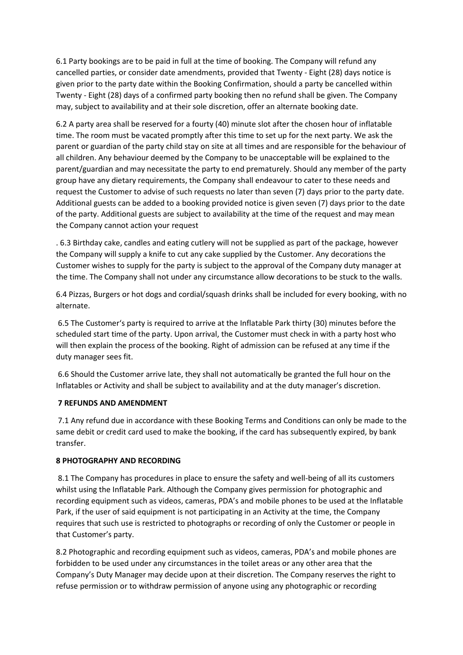6.1 Party bookings are to be paid in full at the time of booking. The Company will refund any cancelled parties, or consider date amendments, provided that Twenty - Eight (28) days notice is given prior to the party date within the Booking Confirmation, should a party be cancelled within Twenty - Eight (28) days of a confirmed party booking then no refund shall be given. The Company may, subject to availability and at their sole discretion, offer an alternate booking date.

6.2 A party area shall be reserved for a fourty (40) minute slot after the chosen hour of inflatable time. The room must be vacated promptly after this time to set up for the next party. We ask the parent or guardian of the party child stay on site at all times and are responsible for the behaviour of all children. Any behaviour deemed by the Company to be unacceptable will be explained to the parent/guardian and may necessitate the party to end prematurely. Should any member of the party group have any dietary requirements, the Company shall endeavour to cater to these needs and request the Customer to advise of such requests no later than seven (7) days prior to the party date. Additional guests can be added to a booking provided notice is given seven (7) days prior to the date of the party. Additional guests are subject to availability at the time of the request and may mean the Company cannot action your request

. 6.3 Birthday cake, candles and eating cutlery will not be supplied as part of the package, however the Company will supply a knife to cut any cake supplied by the Customer. Any decorations the Customer wishes to supply for the party is subject to the approval of the Company duty manager at the time. The Company shall not under any circumstance allow decorations to be stuck to the walls.

6.4 Pizzas, Burgers or hot dogs and cordial/squash drinks shall be included for every booking, with no alternate.

6.5 The Customer's party is required to arrive at the Inflatable Park thirty (30) minutes before the scheduled start time of the party. Upon arrival, the Customer must check in with a party host who will then explain the process of the booking. Right of admission can be refused at any time if the duty manager sees fit.

6.6 Should the Customer arrive late, they shall not automatically be granted the full hour on the Inflatables or Activity and shall be subject to availability and at the duty manager's discretion.

## **7 REFUNDS AND AMENDMENT**

7.1 Any refund due in accordance with these Booking Terms and Conditions can only be made to the same debit or credit card used to make the booking, if the card has subsequently expired, by bank transfer.

#### **8 PHOTOGRAPHY AND RECORDING**

8.1 The Company has procedures in place to ensure the safety and well-being of all its customers whilst using the Inflatable Park. Although the Company gives permission for photographic and recording equipment such as videos, cameras, PDA's and mobile phones to be used at the Inflatable Park, if the user of said equipment is not participating in an Activity at the time, the Company requires that such use is restricted to photographs or recording of only the Customer or people in that Customer's party.

8.2 Photographic and recording equipment such as videos, cameras, PDA's and mobile phones are forbidden to be used under any circumstances in the toilet areas or any other area that the Company's Duty Manager may decide upon at their discretion. The Company reserves the right to refuse permission or to withdraw permission of anyone using any photographic or recording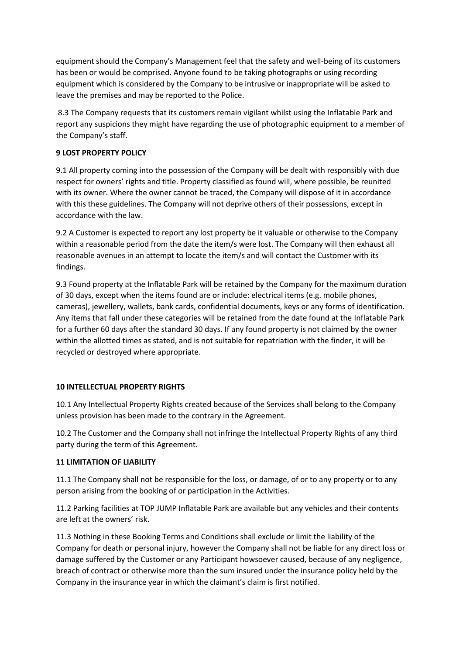equipment should the Company's Management feel that the safety and well-being of its customers has been or would be comprised. Anyone found to be taking photographs or using recording equipment which is considered by the Company to be intrusive or inappropriate will be asked to leave the premises and may be reported to the Police.

8.3 The Company requests that its customers remain vigilant whilst using the Inflatable Park and report any suspicions they might have regarding the use of photographic equipment to a member of the Company's staff.

#### **9 LOST PROPERTY POLICY**

9.1 All property coming into the possession of the Company will be dealt with responsibly with due respect for owners' rights and title. Property classified as found will, where possible, be reunited with its owner. Where the owner cannot be traced, the Company will dispose of it in accordance with this these guidelines. The Company will not deprive others of their possessions, except in accordance with the law.

9.2 A Customer is expected to report any lost property be it valuable or otherwise to the Company within a reasonable period from the date the item/s were lost. The Company will then exhaust all reasonable avenues in an attempt to locate the item/s and will contact the Customer with its findings.

9.3 Found property at the Inflatable Park will be retained by the Company for the maximum duration of 30 days, except when the items found are or include: electrical items (e.g. mobile phones, cameras), jewellery, wallets, bank cards, confidential documents, keys or any forms of identification. Any items that fall under these categories will be retained from the date found at the Inflatable Park for a further 60 days after the standard 30 days. If any found property is not claimed by the owner within the allotted times as stated, and is not suitable for repatriation with the finder, it will be recycled or destroyed where appropriate.

## **10 INTELLECTUAL PROPERTY RIGHTS**

10.1 Any Intellectual Property Rights created because of the Services shall belong to the Company unless provision has been made to the contrary in the Agreement.

10.2 The Customer and the Company shall not infringe the Intellectual Property Rights of any third party during the term of this Agreement.

#### **11 LIMITATION OF LIABILITY**

11.1 The Company shall not be responsible for the loss, or damage, of or to any property or to any person arising from the booking of or participation in the Activities.

11.2 Parking facilities at TOP JUMP Inflatable Park are available but any vehicles and their contents are left at the owners' risk.

11.3 Nothing in these Booking Terms and Conditions shall exclude or limit the liability of the Company for death or personal injury, however the Company shall not be liable for any direct loss or damage suffered by the Customer or any Participant howsoever caused, because of any negligence, breach of contract or otherwise more than the sum insured under the insurance policy held by the Company in the insurance year in which the claimant's claim is first notified.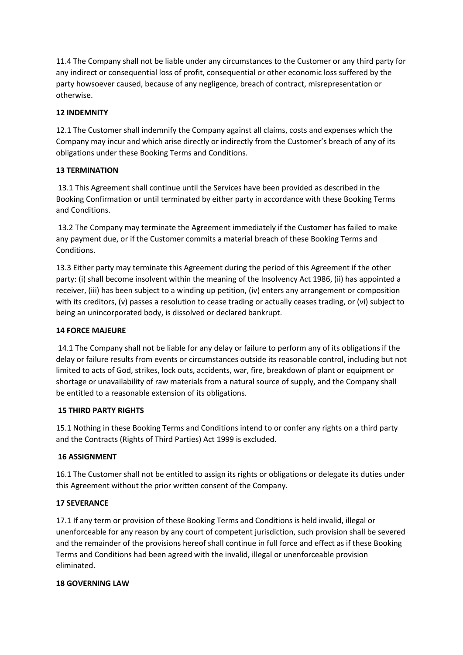11.4 The Company shall not be liable under any circumstances to the Customer or any third party for any indirect or consequential loss of profit, consequential or other economic loss suffered by the party howsoever caused, because of any negligence, breach of contract, misrepresentation or otherwise.

### **12 INDEMNITY**

12.1 The Customer shall indemnify the Company against all claims, costs and expenses which the Company may incur and which arise directly or indirectly from the Customer's breach of any of its obligations under these Booking Terms and Conditions.

## **13 TERMINATION**

13.1 This Agreement shall continue until the Services have been provided as described in the Booking Confirmation or until terminated by either party in accordance with these Booking Terms and Conditions.

13.2 The Company may terminate the Agreement immediately if the Customer has failed to make any payment due, or if the Customer commits a material breach of these Booking Terms and Conditions.

13.3 Either party may terminate this Agreement during the period of this Agreement if the other party: (i) shall become insolvent within the meaning of the Insolvency Act 1986, (ii) has appointed a receiver, (iii) has been subject to a winding up petition, (iv) enters any arrangement or composition with its creditors, (v) passes a resolution to cease trading or actually ceases trading, or (vi) subject to being an unincorporated body, is dissolved or declared bankrupt.

### **14 FORCE MAJEURE**

14.1 The Company shall not be liable for any delay or failure to perform any of its obligations if the delay or failure results from events or circumstances outside its reasonable control, including but not limited to acts of God, strikes, lock outs, accidents, war, fire, breakdown of plant or equipment or shortage or unavailability of raw materials from a natural source of supply, and the Company shall be entitled to a reasonable extension of its obligations.

#### **15 THIRD PARTY RIGHTS**

15.1 Nothing in these Booking Terms and Conditions intend to or confer any rights on a third party and the Contracts (Rights of Third Parties) Act 1999 is excluded.

## **16 ASSIGNMENT**

16.1 The Customer shall not be entitled to assign its rights or obligations or delegate its duties under this Agreement without the prior written consent of the Company.

#### **17 SEVERANCE**

17.1 If any term or provision of these Booking Terms and Conditions is held invalid, illegal or unenforceable for any reason by any court of competent jurisdiction, such provision shall be severed and the remainder of the provisions hereof shall continue in full force and effect as if these Booking Terms and Conditions had been agreed with the invalid, illegal or unenforceable provision eliminated.

#### **18 GOVERNING LAW**